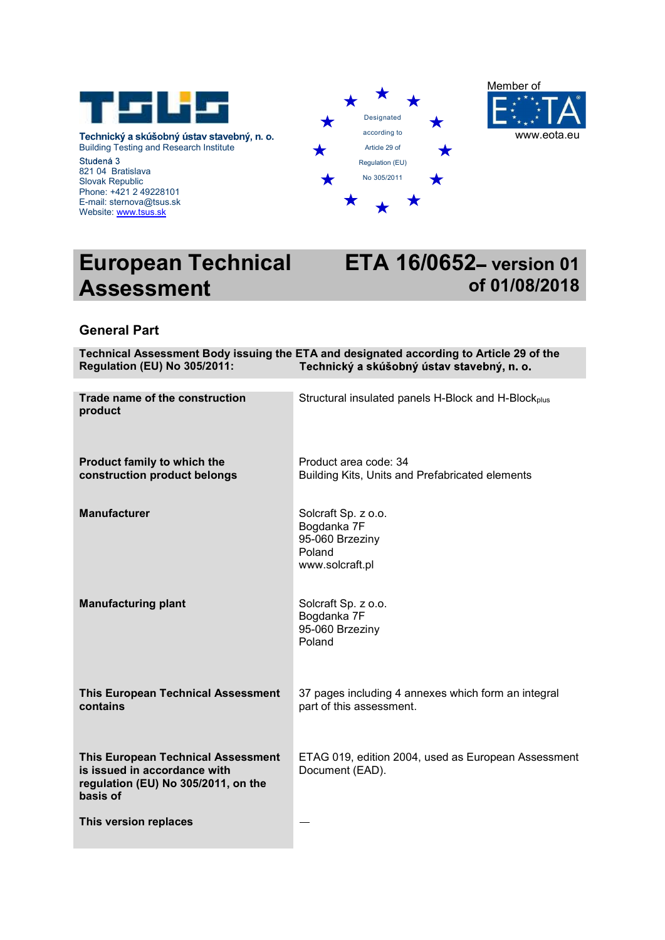

Technický a skúšobný ústav stavebný, n. o. Building Testing and Research Institute Studená 3<br>821 04 Bratislava Slovak Republic Phone: +421 2 49228101 E-mail: sternova@tsus.sk Website: www.tsus.sk





# European Technical Assessment

# **ETA 16/0652- version 01** of 01/08/2018

# General Part

| <b>Regulation (EU) No 305/2011:</b>                                                                                          | Technical Assessment Body issuing the ETA and designated according to Article 29 of the<br>Technický a skúšobný ústav stavebný, n. o. |
|------------------------------------------------------------------------------------------------------------------------------|---------------------------------------------------------------------------------------------------------------------------------------|
| Trade name of the construction<br>product                                                                                    | Structural insulated panels H-Block and H-Block <sub>plus</sub>                                                                       |
| Product family to which the<br>construction product belongs                                                                  | Product area code: 34<br>Building Kits, Units and Prefabricated elements                                                              |
| <b>Manufacturer</b>                                                                                                          | Solcraft Sp. z o.o.<br>Bogdanka 7F<br>95-060 Brzeziny<br>Poland<br>www.solcraft.pl                                                    |
| <b>Manufacturing plant</b>                                                                                                   | Solcraft Sp. z o.o.<br>Bogdanka 7F<br>95-060 Brzeziny<br>Poland                                                                       |
| <b>This European Technical Assessment</b><br>contains                                                                        | 37 pages including 4 annexes which form an integral<br>part of this assessment.                                                       |
| <b>This European Technical Assessment</b><br>is issued in accordance with<br>regulation (EU) No 305/2011, on the<br>basis of | ETAG 019, edition 2004, used as European Assessment<br>Document (EAD).                                                                |
| This version replaces                                                                                                        |                                                                                                                                       |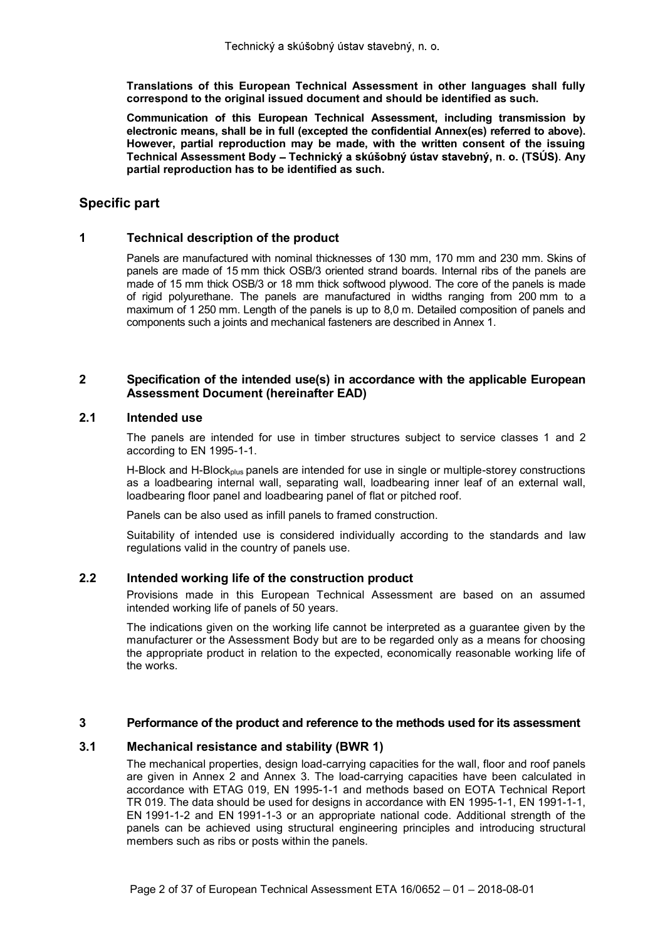Translations of this European Technical Assessment in other languages shall fully correspond to the original issued document and should be identified as such.

Communication of this European Technical Assessment, including transmission by electronic means, shall be in full (excepted the confidential Annex(es) referred to above). However, partial reproduction may be made, with the written consent of the issuing Technical Assessment Body - Technický a skúšobný ústav stavebný, n. o. (TSÚS). Any partial reproduction has to be identified as such.

# Specific part

# 1 Technical description of the product

Panels are manufactured with nominal thicknesses of 130 mm, 170 mm and 230 mm. Skins of panels are made of 15 mm thick OSB/3 oriented strand boards. Internal ribs of the panels are made of 15 mm thick OSB/3 or 18 mm thick softwood plywood. The core of the panels is made of rigid polyurethane. The panels are manufactured in widths ranging from 200 mm to a maximum of 1 250 mm. Length of the panels is up to 8,0 m. Detailed composition of panels and components such a joints and mechanical fasteners are described in Annex 1.

# 2 Specification of the intended use(s) in accordance with the applicable European Assessment Document (hereinafter EAD)

# 2.1 Intended use

The panels are intended for use in timber structures subject to service classes 1 and 2 according to EN 1995-1-1.

H-Block and H-Block<sub>plus</sub> panels are intended for use in single or multiple-storey constructions as a loadbearing internal wall, separating wall, loadbearing inner leaf of an external wall, loadbearing floor panel and loadbearing panel of flat or pitched roof.

Panels can be also used as infill panels to framed construction.

Suitability of intended use is considered individually according to the standards and law regulations valid in the country of panels use.

# 2.2 Intended working life of the construction product

Provisions made in this European Technical Assessment are based on an assumed intended working life of panels of 50 years.

The indications given on the working life cannot be interpreted as a guarantee given by the manufacturer or the Assessment Body but are to be regarded only as a means for choosing the appropriate product in relation to the expected, economically reasonable working life of the works.

# 3 Performance of the product and reference to the methods used for its assessment

# 3.1 Mechanical resistance and stability (BWR 1)

The mechanical properties, design load-carrying capacities for the wall, floor and roof panels are given in Annex 2 and Annex 3. The load-carrying capacities have been calculated in accordance with ETAG 019, EN 1995-1-1 and methods based on EOTA Technical Report TR 019. The data should be used for designs in accordance with EN 1995-1-1, EN 1991-1-1, EN 1991-1-2 and EN 1991-1-3 or an appropriate national code. Additional strength of the panels can be achieved using structural engineering principles and introducing structural members such as ribs or posts within the panels.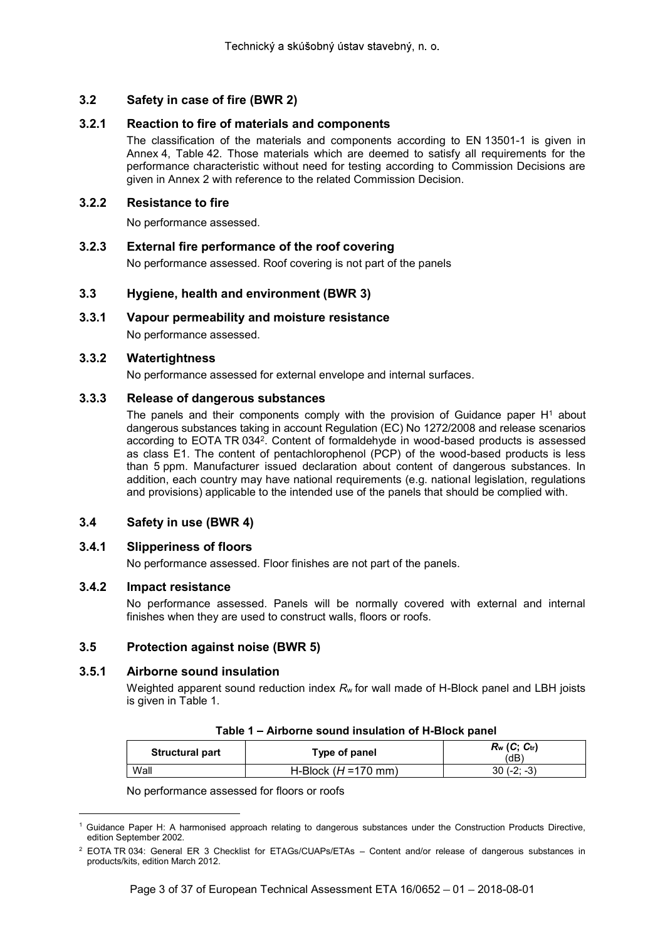# 3.2.1 Reaction to fire of materials and components

Technický a skúšobný ústav stavebný, n. o.<br>
3.2 Safety in case of fire (BWR 2)<br>
3.2.1 Reaction to fire of materials and components<br>
The classification of the materials and components according to EN 1<br>
Annex 4, Table 42. T The classification of the materials and components according to EN 13501-1 is given in Annex 4, Table 42. Those materials which are deemed to satisfy all requirements for the performance characteristic without need for testing according to Commission Decisions are given in Annex 2 with reference to the related Commission Decision.

# 3.2.2 Resistance to fire

No performance assessed.

3.2.3 External fire performance of the roof covering No performance assessed. Roof covering is not part of the panels

# 3.3 Hygiene, health and environment (BWR 3)

# 3.3.1 Vapour permeability and moisture resistance

No performance assessed.

# 3.3.2 Watertightness

No performance assessed for external envelope and internal surfaces.

# 3.3.3 Release of dangerous substances

The panels and their components comply with the provision of Guidance paper  $H<sup>1</sup>$  about dangerous substances taking in account Regulation (EC) No 1272/2008 and release scenarios according to EOTA TR 0342 . Content of formaldehyde in wood-based products is assessed as class E1. The content of pentachlorophenol (PCP) of the wood-based products is less than 5 ppm. Manufacturer issued declaration about content of dangerous substances. In addition, each country may have national requirements (e.g. national legislation, regulations and provisions) applicable to the intended use of the panels that should be complied with.

# 3.4 Safety in use (BWR 4)

# 3.4.1 Slipperiness of floors

No performance assessed. Floor finishes are not part of the panels.

# 3.4.2 Impact resistance

No performance assessed. Panels will be normally covered with external and internal finishes when they are used to construct walls, floors or roofs.

# 3.5 Protection against noise (BWR 5)

# 3.5.1 Airborne sound insulation

Weighted apparent sound reduction index  $R_w$  for wall made of H-Block panel and LBH joists is given in Table 1.

| <b>Structural part</b> | Type of panel          | $R_w$ (C; $C_{tr}$ )<br>(dB) |
|------------------------|------------------------|------------------------------|
| Wall                   | H-Block $(H = 170$ mm) | $30(-2; -3)$                 |

No performance assessed for floors or roofs

Guidance Paper H: A harmonised approach relating to dangerous substances under the Construction Products Directive, edition September 2002.

 $2$  EOTA TR 034: General ER 3 Checklist for ETAGs/CUAPs/ETAs  $-$  Content and/or release of dangerous substances in products/kits, edition March 2012.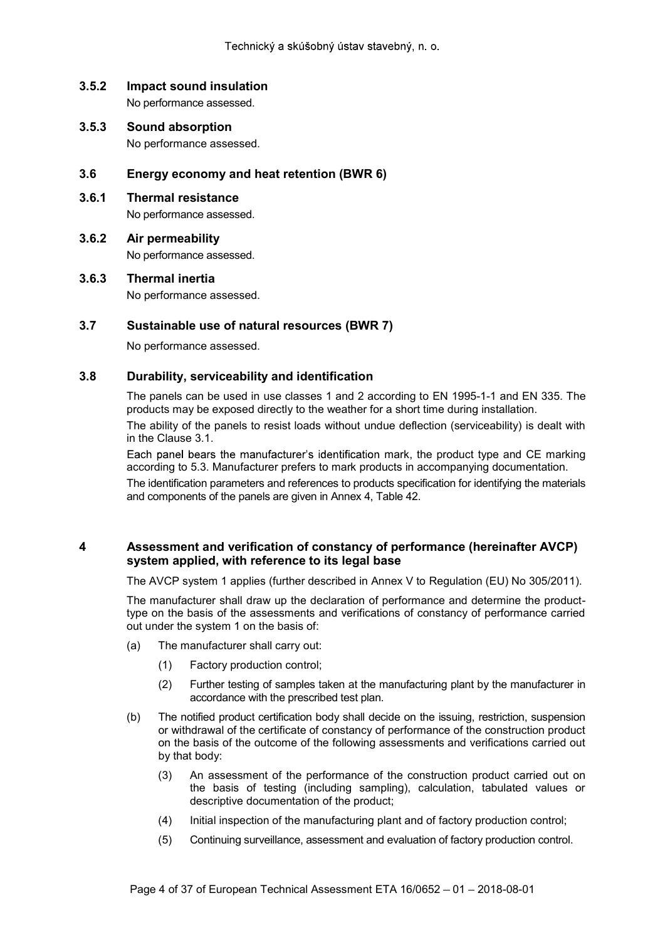No performance assessed.

- Technický a skúšobný ústav stavebný, n. o.<br> **3.5.2 Impact sound insulation**<br>
No performance assessed.<br> **3.5.3 Sound absorption**<br>
No performance assessed. 3.5.3 Sound absorption No performance assessed.
- 3.6 Energy economy and heat retention (BWR 6)
- 3.6.1 Thermal resistance No performance assessed.
- 3.6.2 Air permeability No performance assessed.
- 3.6.3 Thermal inertia

No performance assessed.

# 3.7 Sustainable use of natural resources (BWR 7)

No performance assessed.

# 3.8 Durability, serviceability and identification

The panels can be used in use classes 1 and 2 according to EN 1995-1-1 and EN 335. The products may be exposed directly to the weather for a short time during installation.

The ability of the panels to resist loads without undue deflection (serviceability) is dealt with in the Clause 3.1.

Each panel bears the manufacturer's identification mark, the product type and CE marking according to 5.3. Manufacturer prefers to mark products in accompanying documentation.

The identification parameters and references to products specification for identifying the materials and components of the panels are given in Annex 4, Table 42.

# 4 Assessment and verification of constancy of performance (hereinafter AVCP) system applied, with reference to its legal base

The AVCP system 1 applies (further described in Annex V to Regulation (EU) No 305/2011).

The manufacturer shall draw up the declaration of performance and determine the producttype on the basis of the assessments and verifications of constancy of performance carried out under the system 1 on the basis of:

- (a) The manufacturer shall carry out:
	- (1) Factory production control;
	- (2) Further testing of samples taken at the manufacturing plant by the manufacturer in accordance with the prescribed test plan.
- (b) The notified product certification body shall decide on the issuing, restriction, suspension or withdrawal of the certificate of constancy of performance of the construction product on the basis of the outcome of the following assessments and verifications carried out by that body:
	- (3) An assessment of the performance of the construction product carried out on the basis of testing (including sampling), calculation, tabulated values or descriptive documentation of the product;
	- (4) Initial inspection of the manufacturing plant and of factory production control;
	- (5) Continuing surveillance, assessment and evaluation of factory production control.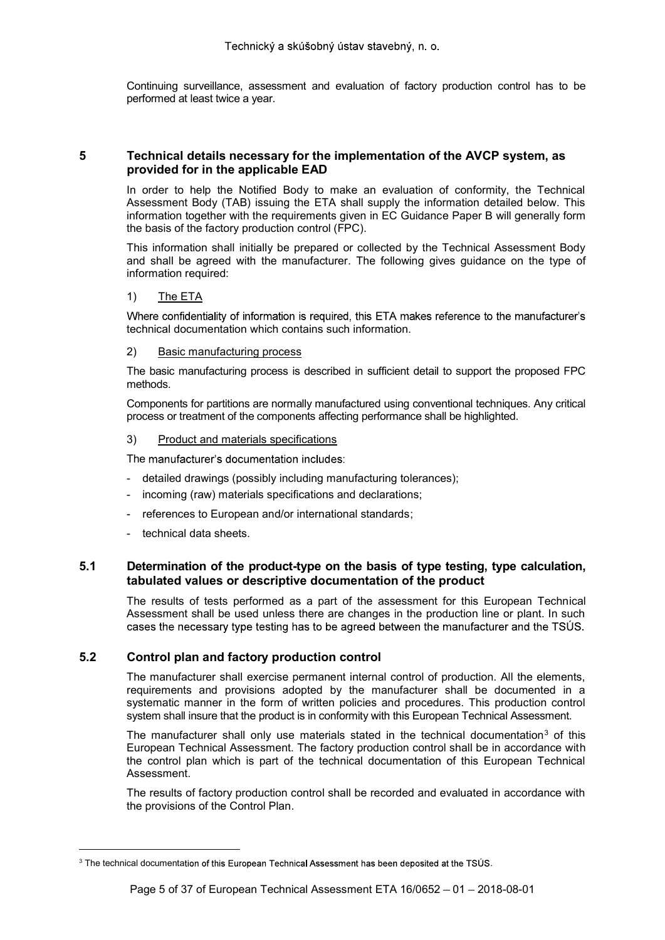Continuing surveillance, assessment and evaluation of factory production control has to be performed at least twice a year.

# 5 Technical details necessary for the implementation of the AVCP system, as provided for in the applicable EAD

In order to help the Notified Body to make an evaluation of conformity, the Technical Assessment Body (TAB) issuing the ETA shall supply the information detailed below. This information together with the requirements given in EC Guidance Paper B will generally form the basis of the factory production control (FPC).

This information shall initially be prepared or collected by the Technical Assessment Body and shall be agreed with the manufacturer. The following gives guidance on the type of information required:

# 1) The ETA

Where confidentiality of information is required, this ETA makes reference to the manufacturer's technical documentation which contains such information.

#### 2) Basic manufacturing process

The basic manufacturing process is described in sufficient detail to support the proposed FPC methods.

Components for partitions are normally manufactured using conventional techniques. Any critical process or treatment of the components affecting performance shall be highlighted.

#### 3) Product and materials specifications

The manufacturer's documentation includes:

- detailed drawings (possibly including manufacturing tolerances);
- incoming (raw) materials specifications and declarations;
- references to European and/or international standards;
- technical data sheets.

# 5.1 Determination of the product-type on the basis of type testing, type calculation, tabulated values or descriptive documentation of the product

The results of tests performed as a part of the assessment for this European Technical Assessment shall be used unless there are changes in the production line or plant. In such cases the necessary type testing has to be agreed between the manufacturer and the TSUS.

# 5.2 Control plan and factory production control

The manufacturer shall exercise permanent internal control of production. All the elements, requirements and provisions adopted by the manufacturer shall be documented in a systematic manner in the form of written policies and procedures. This production control system shall insure that the product is in conformity with this European Technical Assessment.

The manufacturer shall only use materials stated in the technical documentation<sup>3</sup> of this European Technical Assessment. The factory production control shall be in accordance with the control plan which is part of the technical documentation of this European Technical Assessment.

The results of factory production control shall be recorded and evaluated in accordance with the provisions of the Control Plan.

 $3$  The technical documentation of this European Technical Assessment has been deposited at the TSUS.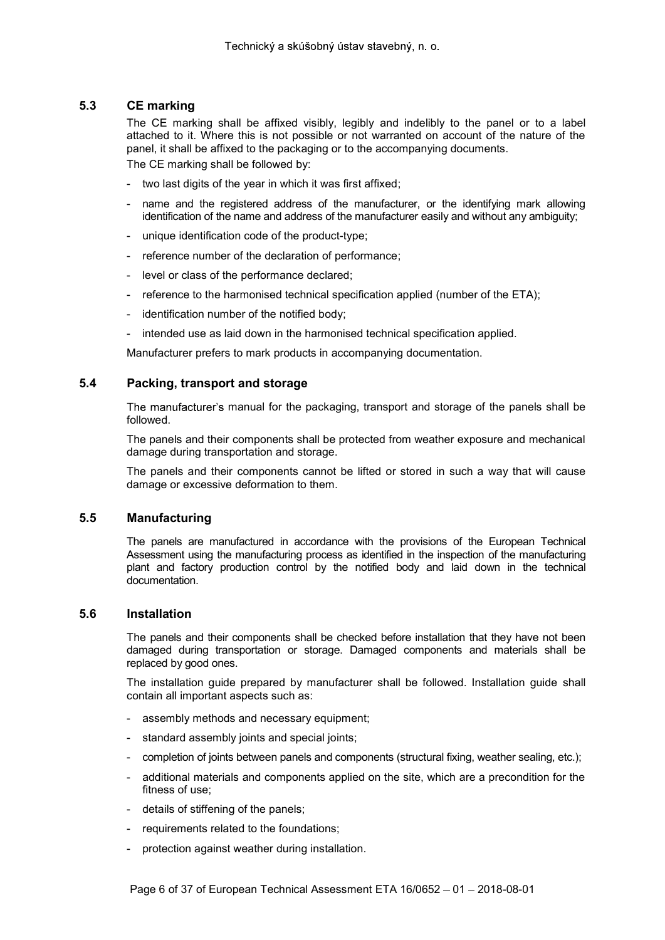# 5.3 CE marking

The CE marking shall be affixed visibly, legibly and indelibly to the panel or to a label attached to it. Where this is not possible or not warranted on account of the nature of the panel, it shall be affixed to the packaging or to the accompanying documents.

The CE marking shall be followed by:

- two last digits of the year in which it was first affixed;
- name and the registered address of the manufacturer, or the identifying mark allowing identification of the name and address of the manufacturer easily and without any ambiguity;
- unique identification code of the product-type;
- reference number of the declaration of performance;
- level or class of the performance declared;
- reference to the harmonised technical specification applied (number of the ETA);
- identification number of the notified body;
- intended use as laid down in the harmonised technical specification applied.

Manufacturer prefers to mark products in accompanying documentation.

#### 5.4 Packing, transport and storage

The manufacturer's manual for the packaging, transport and storage of the panels shall be followed.

The panels and their components shall be protected from weather exposure and mechanical damage during transportation and storage.

The panels and their components cannot be lifted or stored in such a way that will cause damage or excessive deformation to them.

# 5.5 Manufacturing

The panels are manufactured in accordance with the provisions of the European Technical Assessment using the manufacturing process as identified in the inspection of the manufacturing plant and factory production control by the notified body and laid down in the technical documentation.

#### 5.6 Installation

The panels and their components shall be checked before installation that they have not been damaged during transportation or storage. Damaged components and materials shall be replaced by good ones.

The installation guide prepared by manufacturer shall be followed. Installation guide shall contain all important aspects such as:

- assembly methods and necessary equipment;
- standard assembly joints and special joints;
- completion of joints between panels and components (structural fixing, weather sealing, etc.);
- additional materials and components applied on the site, which are a precondition for the fitness of use;
- details of stiffening of the panels;
- requirements related to the foundations;
- protection against weather during installation.